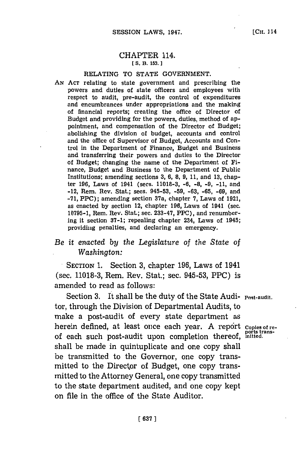## CHAPTER 114. **[S. B. 153.1**

## RELATING TO **STATE GOVERNMENT.**

**AN ACT** relating to state government and prescribing the powers and duties of state officers and employees with respect to audit, pre-audit, the control of expenditures and encumbrances under appropriations and the making of financial reports; creating the office of Director of Budget and providing for the powers, duties, method of appointment, and compensation of the Director of Budget; abolishing the division of budget, accounts and control and the office of Supervisor of Budget, Accounts and Control in the Department of Finance, Budget and Business and transferring their powers and duties to the Director of Budget; changing the name **of** the Department of Finance, Budget and Business to the Department of Public Institutions; amending sections **3, 6, 8, 9, 11,** and **13,** chapter **196,** Laws of 1941 (sees. **11018-3, -6, -8, -9, -11,** and -12, Rem. Rev. Stat.; secs. **945-53, -59, -63, -65, -69,** and **-71,** PPC); amending section 37a, chapter **7,** Laws of **1921,** as enacted **by** section 12, chapter **196,** Laws of 1941 (sec. **10795-1,** Rem. Rev. Stat.; sec. **233-47,** PPC), and renumber-Ing it section **37-1;** repealing chapter 234, Laws of 1945; providing penalties, and declaring an emergency.

## *Be it enacted by the Legislature of the State of Washington:*

SECTION **1.** Section **3,** chapter **196,** Laws of 1941 (sec. **11018-3,** Rem. Rev. Stat.; sec. **945-53,** PPC) is amended to read as follows:

Section 3. It shall be the duty of the State Audi- Post-audit. tor, through the Division of Departmental Audits, to make a post-audit of every state department as herein defined, at least once each year. A report coples of reof each such post-audit upon completion thereof, mitted. shall be made in quintuplicate and one copy shall be transmitted to the Governor, one copy transmitted to the Director of Budget, one copy transmitted to the Attorney General, one copy transmitted to the state department audited, and one copy kept on file in the office of the State Auditor.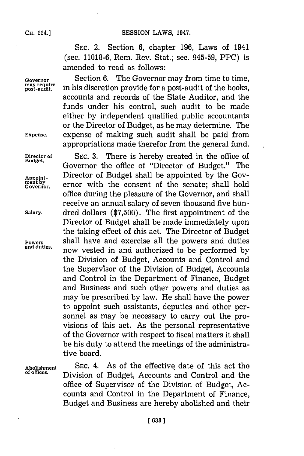**SEC.** 2. Section **6,** chapter **196,** Laws of 1941 (sec. **11018-6,** Rem. Rev. Stat.; sec. **945-59,** PPC) is amended to read as follows:

Governor<br>
<u>Governor</u><br>
may require<br>
in his discretion provide for a post-audit of the books, in his discretion provide for a post-audit of the books, accounts and records of the State Auditor, and the funds under his control, such audit to be made either **by** independent qualified public accountants or the Director of Budget, as he may determine. The **Expense,** expense of making such audit shall be paid from appropriations made therefor from the general fund.

Director of SEC. 3. There is hereby created in the office of Budget. **Budget.** Governor the office of "Director of Budget." The **Appoint-** Director of Budget shall be appointed **by** the Gov-Appoint-<br>
<u>ment by</u> **Finally** ernor with the consent of the senate; shall hold office during the pleasure of the Governor, and shall receive an annual salary of seven thousand five hun-**Salary.** dred dollars **(\$7,500).** The first appointment of the Director of Budget shall be'made immediately upon the taking effect of this act. The Director of Budget **Powers shall have and exercise all the powers and duties and duties.** now vested in and authorized to be performed by the Division of Budget, Accounts and Control and the Supervisor of the Division of Budget, Accounts and Control in the Department of Finance, Budget and Business and such other powers and duties as may be prescribed **by** law. He shall have the power to appoint such assistants, deputies and other personnel as may be necessary to carry out the provisions of this act. As the personal representative of the Governor with respect to fiscal matters it shall be his duty to attend the meetings of the administrative board.

Abolishment SEC. 4. As of the effective date of this act the effective date of this act the **of offces.** Division of Budget, Accounts and Control and the office of Supervisor of the Division of Bud get, Accounts and Control in the Department of Finance, Budget and Business are hereby abolished and their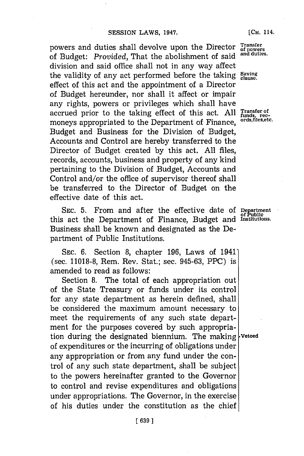powers and duties shall devolve upon the Director  $_{\rm of~power}^{\rm Transfer}$ of Budget: *Provided,* That the abolishment of said **and duties.** division and said office shall not in any way affect the validity of any act performed before the taking Saving effect of this act and the appointment of a Director of Budget hereunder, nor shall it affect or impair any rights, powers or privileges which shall have accrued prior to the taking effect of this act. All Transfer of moneys appropriated to the Department of Finance ords, files, etc. moneys appropriated to the Department of Finance, Budget and Business for the Division of Budget, Accounts and Control are hereby transferred to the Director of Budget created **by** this act. **All** files, records, accounts, business and property of any kind pertaining to the Division of Budget, Accounts and Control and/or the office of supervisor thereof shall be transferred to the Director of Budget on the effective date of this act.

SEC. 5. From and after the effective date of Department this act the Department of Finance, Budget and **Instiutions.** Business shall be known and designated as the Department of Public Institutions.

**SEC. 6.** Section **8,** chapter **196,** Laws of 1941' (sec. **11018-8,** Rem. Rev. Stat.; sec. **945-63,** PPC) is amended to read as follows:

Section **8.** The total of each appropriation out of the State Treasury or funds under its control for any state department as herein defined, shall be considered the maximum amount necessary to meet the requirements of any such state department for the purposes covered **by** such appropriation during the designated biennium. The making **Vetoed** of expenditures or the incurring of obligations under any appropriation or from any fund under the control of any such state department, shall be subject to the powers hereinafter granted to the Governor to control and revise expenditures and obligations under appropriations. The Governor, in the exercise of his duties under the constitution as the chief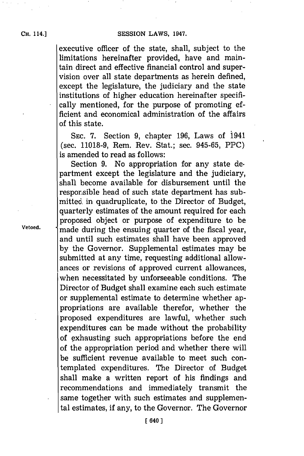executive officer of the state, shall, subject to the limitations hereinafter provided, have and maintain direct and effective financial control and supervision over all state departments as herein defined, except the legislature, the judiciary and the state institutions of higher education hereinafter specifically mentioned, for the purpose of promoting efficient and economical administration of the affairs of this state.

**SEC. 7.** Section **9,** chapter **196,** Laws of 1941 (sec. **11018-9,** Rem. Rev. Stat.; sec. **945-65,** PPC) is amended to read as follows:

Section **9.** No appropriation for any state de. partment except the legislature and the judiciary, shall become available for disbursement until the responsible head of such state department has submitted. in quadruplicate, to the Director of Budget, quarterly estimates of the amount required for each proposed object or purpose of expenditure to be **Vetoed,** made during the ensuing quarter of the fiscal year, and until such estimates shall have been approved **by** the Governor. Supplemental estimates may be submitted at any time, requesting additional allowances or revisions of approved current allowances, when necessitated **by** unforseeable conditions. The Director of Budget shall examine each such estimate or supplemental estimate to determine whether appropriations are available therefor, whether the proposed expenditures are lawful, whether such expenditures can be made without the probability of exhausting such appropriations before the end **of** the appropriation period and whether there will be sufficient revenue available to meet such contemplated expenditures. The Director of Budget shall make a written report of his findings and recommendations and immediately transmit the same together with such estimates and supplemental estimates, if any, to the Governor. The Governor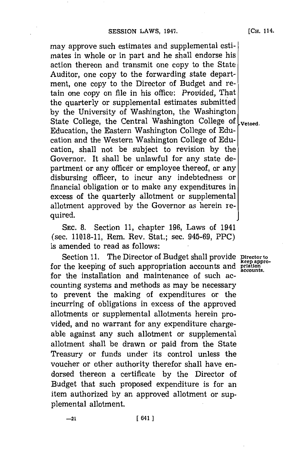may approve such estimates and supplemental estimates in whole or in part and he shall endorse his action thereon and transmit one copy to the State Auditor, one copy to the forwarding state department, one copy to the Director of Budget and retain one copy on file in his office: *Provided,* That the quarterly or supplemental estimates submitted **by** the University of Washington, the Washington State College, the Central Washington College of  $\vert_{\text{vetoed.}}$ Education, the Eastern Washington College of Education and the Western Washington College of Education, shall not be subject to revision **by** the Governor. It shall be unlawful for any state department or any officer or employee thereof, or any disbursing officer, to incur any indebtedness or financial obligation or to make any expenditures in excess of the quarterly allotment or supplemental allotment approved **by** the Governor as herein required.

**SEC. 8.** Section **11,** chapter **196,** Laws of 1941 (sec. **11018-11,** Rem. Rev. Stat.; sec. **945-69,** PPC) is amended to read as follows:

Section 11. The Director of Budget shall provide **Director to keep appro-** for the keeping of such appropriation accounts and **priation** for the installation and maintenance of such accounting systems and methods as may be necessary to prevent the making of expenditures or the incurring of obligations in excess of the approved allotments or supplemental allotments herein provided, and no warrant for any expenditure chargeable against any such allotment or supplemental allotment shall be drawn or paid from the State Treasury or funds under its control unless the voucher or other authority therefor shall have endorsed thereon a certificate **by** the Director of Budget that such proposed expenditure is for an item authorized **by** an approved allotment or supplemental allotment.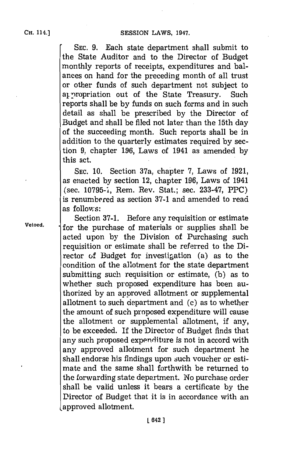SESSION LAWS, 1947.

**SEC. 9.** Each state department shall submit to the State Auditor and to the Director of Budget monthly reports of receipts, expenditures and balances on hand for the preceding month of all trust or other funds of such department not subject to at propriation out of the State Treasury. Such reports shall be **by** funds on such forms and in such detail as shall be prescribed **by** the Director of Budget and shall be filed not later than the 15th day of the succeeding month. Such reports shall be in addition to the quarterly estimates required **by** section **9,** chapter **196,** Laws of 1941 as amended **by** this act.

**SEC. 10.** Section 37a, chapter **7,** Laws of **1921,** as enacted **by** section 12, chapter **196,** Laws of 1941 (sec. **10795-1,** Rem. Rev. Stat.; sec. **233-47,** PPC) is renumbered as section **37-1** and amended to read as follows:

Section **37-1.** Before any requisition or estimate **Vetoed.** for the purchase of materials or supplies shall be acted upon **by** the Division of Purchasing such requisition or estimate shall be referred to the Director of Budget for investigation (a) as to the condition of the allotment for the state department submitting such requisition or estimate, **(b)** as to whether such proposed expenditure has been authorized **by** an approved allotment or supplemental allotment to such department and (c) as to whether the amount of such proposed expenditure will cause the allotment or supplemental allotment, if any, to be exceeded. If the Director of Budget finds that any such proposed expenditure is not in accord with any approved allotment for such department he shall endorse his findings upon such voucher or estimate and the same shall forthwith be returned to the forwarding state department. No purchase order shall be valid unless it bears a certificate **by** the Director of Budget that it is in accordance with an approved allotment.